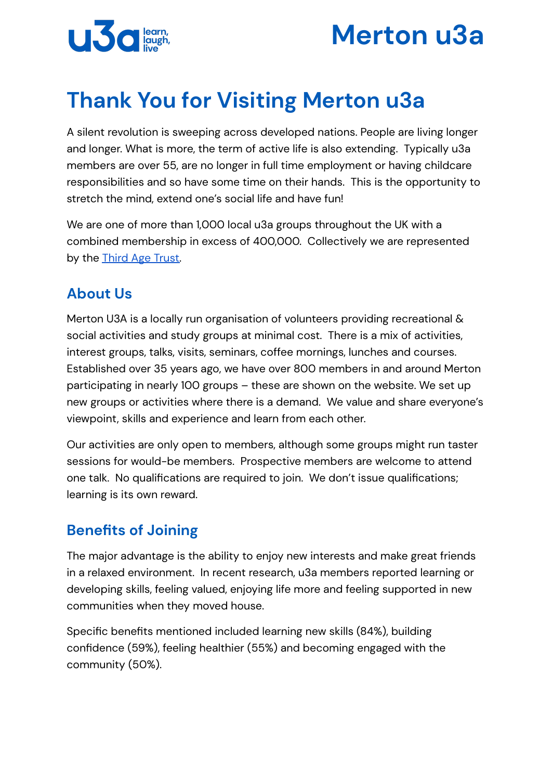



# **Thank You for Visiting Merton u3a**

A silent revolution is sweeping across developed nations. People are living longer and longer. What is more, the term of active life is also extending. Typically u3a members are over 55, are no longer in full time employment or having childcare responsibilities and so have some time on their hands. This is the opportunity to stretch the mind, extend one's social life and have fun!

We are one of more than 1,000 local u3a groups throughout the UK with a combined membership in excess of 400,000. Collectively we are represented by the **[Third](https://www.u3a.org.uk/) Age Trust**.

### **About Us**

Merton U3A is a locally run organisation of volunteers providing recreational & social activities and study groups at minimal cost. There is a mix of activities, interest groups, talks, visits, seminars, coffee mornings, lunches and courses. Established over 35 years ago, we have over 800 members in and around Merton participating in nearly 100 groups – these are shown on the website. We set up new groups or activities where there is a demand. We value and share everyone's viewpoint, skills and experience and learn from each other.

Our activities are only open to members, although some groups might run taster sessions for would-be members. Prospective members are welcome to attend one talk. No qualifications are required to join. We don't issue qualifications; learning is its own reward.

# **Benefits of Joining**

The major advantage is the ability to enjoy new interests and make great friends in a relaxed environment. In recent research, u3a members reported learning or developing skills, feeling valued, enjoying life more and feeling supported in new communities when they moved house.

Specific benefits mentioned included learning new skills (84%), building confidence (59%), feeling healthier (55%) and becoming engaged with the community (50%).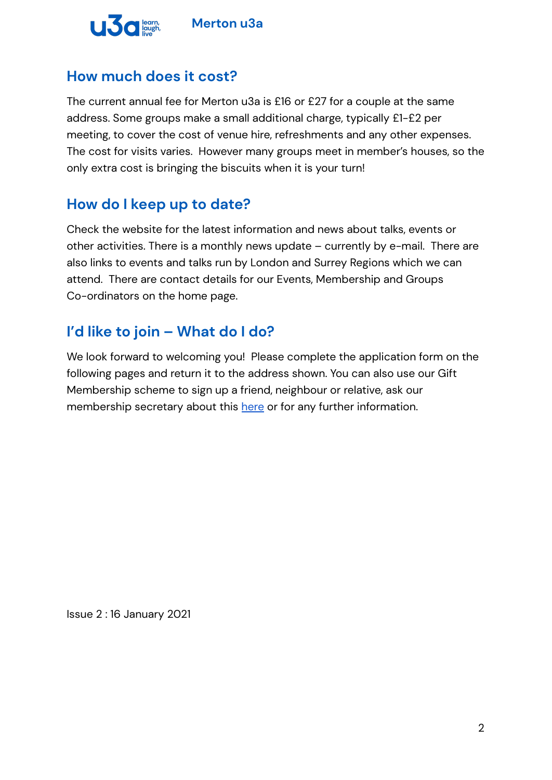

# **How much does it cost?**

The current annual fee for Merton u3a is £16 or £27 for a couple at the same address. Some groups make a small additional charge, typically £1-£2 per meeting, to cover the cost of venue hire, refreshments and any other expenses. The cost for visits varies. However many groups meet in member's houses, so the only extra cost is bringing the biscuits when it is your turn!

# **How do I keep up to date?**

Check the website for the latest information and news about talks, events or other activities. There is a monthly news update – currently by e-mail. There are also links to events and talks run by London and Surrey Regions which we can attend. There are contact details for our Events, Membership and Groups Co-ordinators on the home page.

# **I'd like to join – What do I do?**

We look forward to welcoming you! Please complete the application form on the following pages and return it to the address shown. You can also use our Gift Membership scheme to sign up a friend, neighbour or relative, ask our membership secretary about this [here](mailto:membership@mertonu3a.org.uk) or for any further information.

Issue 2 : 16 January 2021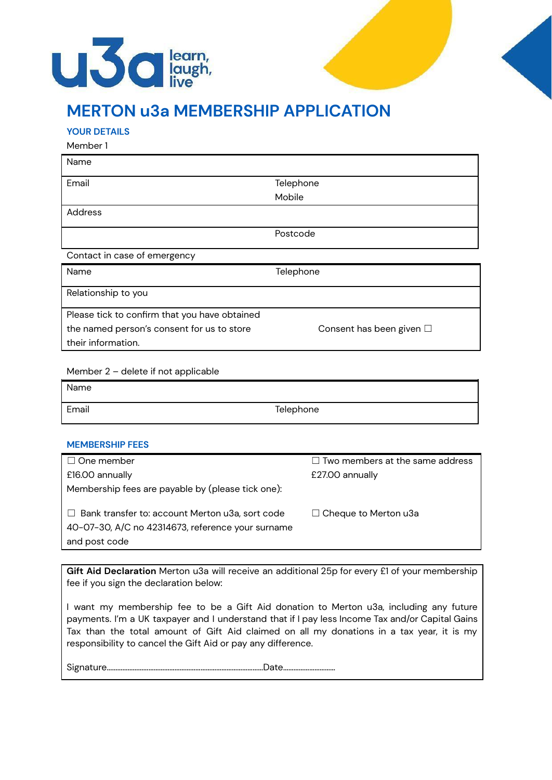



# **MERTON u3a MEMBERSHIP APPLICATION**

#### **YOUR DETAILS**

Member 1

| Name                                          |                          |  |
|-----------------------------------------------|--------------------------|--|
| Email                                         | Telephone                |  |
|                                               | Mobile                   |  |
| Address                                       |                          |  |
|                                               | Postcode                 |  |
| Contact in case of emergency                  |                          |  |
| Name                                          | Telephone                |  |
| Relationship to you                           |                          |  |
| Please tick to confirm that you have obtained |                          |  |
| the named person's consent for us to store    | Consent has been given □ |  |
| their information.                            |                          |  |

Member 2 – delete if not applicable

| Name  |           |
|-------|-----------|
| Email | Telephone |

#### **MEMBERSHIP FEES**

| $\Box$ One member                                      | $\Box$ Two members at the same address |
|--------------------------------------------------------|----------------------------------------|
| £16.00 annually                                        | £27.00 annually                        |
| Membership fees are payable by (please tick one):      |                                        |
|                                                        |                                        |
| $\Box$ Bank transfer to: account Merton u3a, sort code | $\Box$ Cheque to Merton u3a            |
| 40-07-30, A/C no 42314673, reference your surname      |                                        |
| and post code                                          |                                        |

**Gift Aid Declaration** Merton u3a will receive an additional 25p for every £1 of your membership fee if you sign the declaration below:

I want my membership fee to be a Gift Aid donation to Merton u3a, including any future payments. I'm a UK taxpayer and I understand that if I pay less Income Tax and/or Capital Gains Tax than the total amount of Gift Aid claimed on all my donations in a tax year, it is my responsibility to cancel the Gift Aid or pay any difference.

Signature………………………………………………………………………………Date…………………………